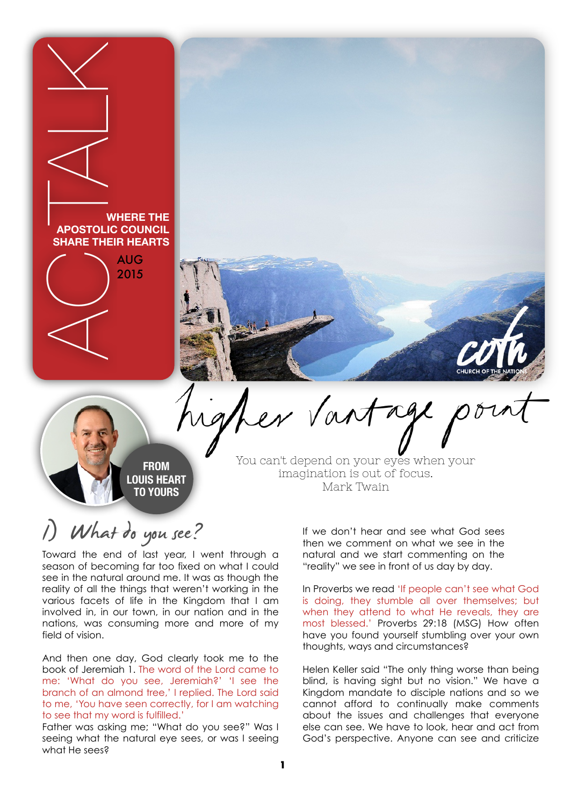

# What do you see?

Toward the end of last year, I went through a season of becoming far too fixed on what I could see in the natural around me. It was as though the reality of all the things that weren't working in the various facets of life in the Kingdom that I am involved in, in our town, in our nation and in the nations, was consuming more and more of my field of vision.

And then one day, God clearly took me to the book of Jeremiah 1. The word of the Lord came to me: 'What do you see, Jeremiah?' 'I see the branch of an almond tree,' I replied. The Lord said to me, 'You have seen correctly, for I am watching to see that my word is fulfilled.'

Father was asking me; "What do you see?" Was I seeing what the natural eye sees, or was I seeing what He sees?

If we don't hear and see what God sees then we comment on what we see in the natural and we start commenting on the "reality" we see in front of us day by day.

In Proverbs we read 'If people can't see what God is doing, they stumble all over themselves; but when they attend to what He reveals, they are most blessed.' Proverbs 29:18 (MSG) How often have you found yourself stumbling over your own thoughts, ways and circumstances?

Helen Keller said "The only thing worse than being blind, is having sight but no vision." We have a Kingdom mandate to disciple nations and so we cannot afford to continually make comments about the issues and challenges that everyone else can see. We have to look, hear and act from God's perspective. Anyone can see and criticize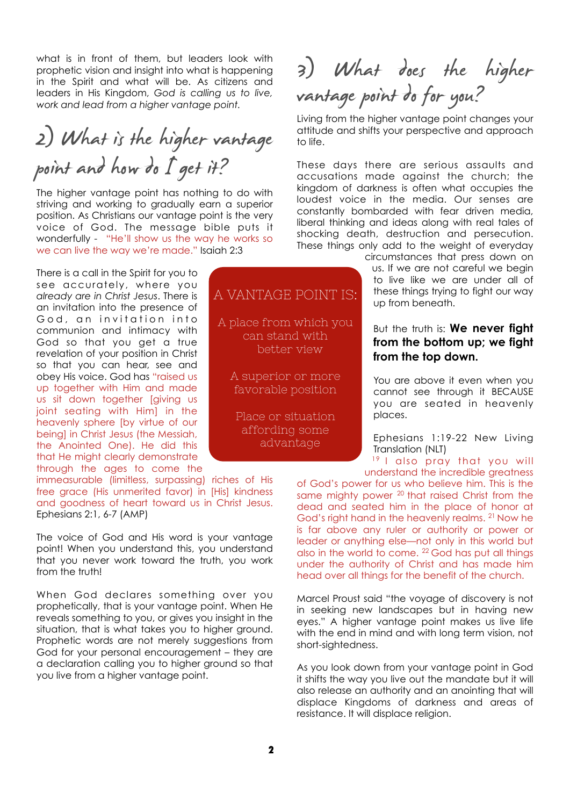what is in front of them, but leaders look with prophetic vision and insight into what is happening in the Spirit and what will be. As citizens and leaders in His Kingdom, *God is calling us to live, work and lead from a higher vantage point.* 

## 2) What is the higher vantage point and how do I get it?

The higher vantage point has nothing to do with striving and working to gradually earn a superior position. As Christians our vantage point is the very voice of God. The message bible puts it wonderfully - "He'll show us the way he works so we can live the way we're made." Isaiah 2:3

There is a call in the Spirit for you to see accurately, where you *already are in Christ Jesus*. There is an invitation into the presence of God, an invitation into communion and intimacy with God so that you get a true revelation of your position in Christ so that you can hear, see and obey His voice. God has "raised us up together with Him and made us sit down together [giving us joint seating with Him] in the heavenly sphere [by virtue of our being] in Christ Jesus (the Messiah, the Anointed One). He did this that He might clearly demonstrate through the ages to come the

immeasurable (limitless, surpassing) riches of His free grace (His unmerited favor) in [His] kindness and goodness of heart toward us in Christ Jesus. Ephesians 2:1, 6-7 (AMP)

The voice of God and His word is your vantage point! When you understand this, you understand that you never work toward the truth, you work from the truth!

When God declares something over you prophetically, that is your vantage point. When He reveals something to you, or gives you insight in the situation, that is what takes you to higher ground. Prophetic words are not merely suggestions from God for your personal encouragement – they are a declaration calling you to higher ground so that you live from a higher vantage point.

### A VANTAGE POINT IS: A place from which you can stand with better view A superior or more favorable position Place or situation affording some

advantage

3) What does the higher<br>vantage point do for you?

Living from the higher vantage point changes your attitude and shifts your perspective and approach to life.

These days there are serious assaults and accusations made against the church; the kingdom of darkness is often what occupies the loudest voice in the media. Our senses are constantly bombarded with fear driven media, liberal thinking and ideas along with real tales of shocking death, destruction and persecution. These things only add to the weight of everyday

circumstances that press down on us. If we are not careful we begin to live like we are under all of these things trying to fight our way up from beneath.

#### But the truth is: **We never fight from the bottom up; we fight from the top down.**

You are above it even when you cannot see through it BECAUSE you are seated in heavenly places.

Ephesians 1:19-22 New Living Translation (NLT)

<sup>19</sup> I also pray that you will understand the incredible greatness

of God's power for us who believe him. This is the same mighty power <sup>20</sup> that raised Christ from the dead and seated him in the place of honor at God's right hand in the heavenly realms. <sup>21</sup> Now he is far above any ruler or authority or power or leader or anything else—not only in this world but also in the world to come. <sup>22</sup> God has put all things under the authority of Christ and has made him head over all things for the benefit of the church.

Marcel Proust said "the voyage of discovery is not in seeking new landscapes but in having new eyes." A higher vantage point makes us live life with the end in mind and with long term vision, not short-sightedness.

As you look down from your vantage point in God it shifts the way you live out the mandate but it will also release an authority and an anointing that will displace Kingdoms of darkness and areas of resistance. It will displace religion.